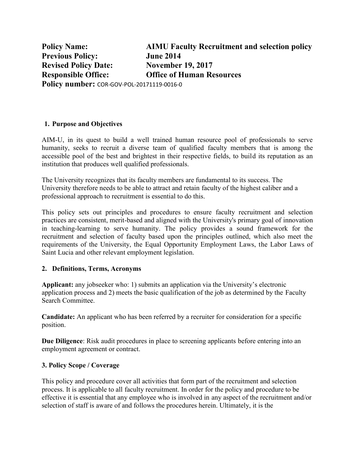**Policy Name: AIMU Faculty Recruitment and selection policy Previous Policy: June 2014 Revised Policy Date: November 19, 2017 Responsible Office: Office of Human Resources Policy number:** COR-GOV-POL-20171119-0016-0

### **1. Purpose and Objectives**

AIM-U, in its quest to build a well trained human resource pool of professionals to serve humanity, seeks to recruit a diverse team of qualified faculty members that is among the accessible pool of the best and brightest in their respective fields, to build its reputation as an institution that produces well qualified professionals.

The University recognizes that its faculty members are fundamental to its success. The University therefore needs to be able to attract and retain faculty of the highest caliber and a professional approach to recruitment is essential to do this.

This policy sets out principles and procedures to ensure faculty recruitment and selection practices are consistent, merit-based and aligned with the University's primary goal of innovation in teaching-learning to serve humanity. The policy provides a sound framework for the recruitment and selection of faculty based upon the principles outlined, which also meet the requirements of the University, the Equal Opportunity Employment Laws, the Labor Laws of Saint Lucia and other relevant employment legislation.

#### **2. Definitions, Terms, Acronyms**

**Applicant:** any jobseeker who: 1) submits an application via the University's electronic application process and 2) meets the basic qualification of the job as determined by the Faculty Search Committee.

**Candidate:** An applicant who has been referred by a recruiter for consideration for a specific position.

**Due Diligence**: Risk audit procedures in place to screening applicants before entering into an employment agreement or contract.

#### **3. Policy Scope / Coverage**

This policy and procedure cover all activities that form part of the recruitment and selection process. It is applicable to all faculty recruitment. In order for the policy and procedure to be effective it is essential that any employee who is involved in any aspect of the recruitment and/or selection of staff is aware of and follows the procedures herein. Ultimately, it is the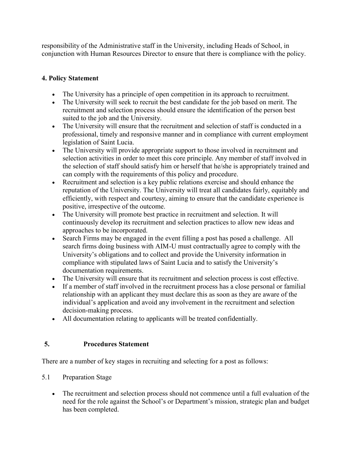responsibility of the Administrative staff in the University, including Heads of School, in conjunction with Human Resources Director to ensure that there is compliance with the policy.

# **4. Policy Statement**

- The University has a principle of open competition in its approach to recruitment.
- The University will seek to recruit the best candidate for the job based on merit. The recruitment and selection process should ensure the identification of the person best suited to the job and the University.
- The University will ensure that the recruitment and selection of staff is conducted in a professional, timely and responsive manner and in compliance with current employment legislation of Saint Lucia.
- The University will provide appropriate support to those involved in recruitment and selection activities in order to meet this core principle. Any member of staff involved in the selection of staff should satisfy him or herself that he/she is appropriately trained and can comply with the requirements of this policy and procedure.
- Recruitment and selection is a key public relations exercise and should enhance the reputation of the University. The University will treat all candidates fairly, equitably and efficiently, with respect and courtesy, aiming to ensure that the candidate experience is positive, irrespective of the outcome.
- The University will promote best practice in recruitment and selection. It will continuously develop its recruitment and selection practices to allow new ideas and approaches to be incorporated.
- Search Firms may be engaged in the event filling a post has posed a challenge. All search firms doing business with AIM-U must contractually agree to comply with the University's obligations and to collect and provide the University information in compliance with stipulated laws of Saint Lucia and to satisfy the University's documentation requirements.
- The University will ensure that its recruitment and selection process is cost effective.
- If a member of staff involved in the recruitment process has a close personal or familial relationship with an applicant they must declare this as soon as they are aware of the individual's application and avoid any involvement in the recruitment and selection decision-making process.
- All documentation relating to applicants will be treated confidentially.

# **5. Procedures Statement**

There are a number of key stages in recruiting and selecting for a post as follows:

- 5.1 Preparation Stage
	- The recruitment and selection process should not commence until a full evaluation of the need for the role against the School's or Department's mission, strategic plan and budget has been completed.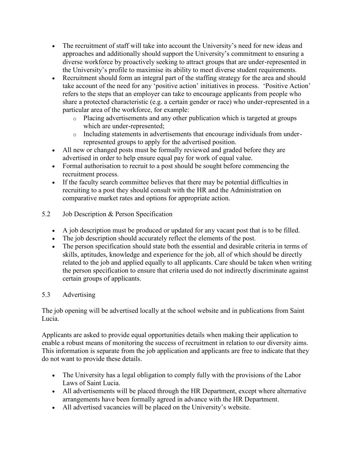- The recruitment of staff will take into account the University's need for new ideas and approaches and additionally should support the University's commitment to ensuring a diverse workforce by proactively seeking to attract groups that are under-represented in the University's profile to maximise its ability to meet diverse student requirements.
- Recruitment should form an integral part of the staffing strategy for the area and should take account of the need for any 'positive action' initiatives in process. 'Positive Action' refers to the steps that an employer can take to encourage applicants from people who share a protected characteristic (e.g. a certain gender or race) who under-represented in a particular area of the workforce, for example:
	- o Placing advertisements and any other publication which is targeted at groups which are under-represented;
	- o Including statements in advertisements that encourage individuals from underrepresented groups to apply for the advertised position.
- All new or changed posts must be formally reviewed and graded before they are advertised in order to help ensure equal pay for work of equal value.
- Formal authorisation to recruit to a post should be sought before commencing the recruitment process.
- If the faculty search committee believes that there may be potential difficulties in recruiting to a post they should consult with the HR and the Administration on comparative market rates and options for appropriate action.
- 5.2 Job Description & Person Specification
	- A job description must be produced or updated for any vacant post that is to be filled.
	- The job description should accurately reflect the elements of the post.
	- The person specification should state both the essential and desirable criteria in terms of skills, aptitudes, knowledge and experience for the job, all of which should be directly related to the job and applied equally to all applicants. Care should be taken when writing the person specification to ensure that criteria used do not indirectly discriminate against certain groups of applicants.

## 5.3 Advertising

The job opening will be advertised locally at the school website and in publications from Saint Lucia.

Applicants are asked to provide equal opportunities details when making their application to enable a robust means of monitoring the success of recruitment in relation to our diversity aims. This information is separate from the job application and applicants are free to indicate that they do not want to provide these details.

- The University has a legal obligation to comply fully with the provisions of the Labor Laws of Saint Lucia.
- All advertisements will be placed through the HR Department, except where alternative arrangements have been formally agreed in advance with the HR Department.
- All advertised vacancies will be placed on the University's website.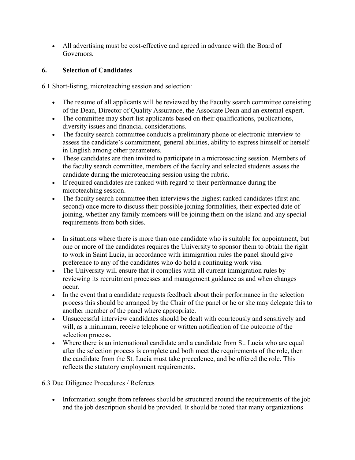All advertising must be cost-effective and agreed in advance with the Board of Governors.

## **6. Selection of Candidates**

6.1 Short-listing, microteaching session and selection:

- The resume of all applicants will be reviewed by the Faculty search committee consisting of the Dean, Director of Quality Assurance, the Associate Dean and an external expert.
- The committee may short list applicants based on their qualifications, publications, diversity issues and financial considerations.
- The faculty search committee conducts a preliminary phone or electronic interview to assess the candidate's commitment, general abilities, ability to express himself or herself in English among other parameters.
- These candidates are then invited to participate in a microteaching session. Members of the faculty search committee, members of the faculty and selected students assess the candidate during the microteaching session using the rubric.
- If required candidates are ranked with regard to their performance during the microteaching session.
- The faculty search committee then interviews the highest ranked candidates (first and second) once more to discuss their possible joining formalities, their expected date of joining, whether any family members will be joining them on the island and any special requirements from both sides.
- In situations where there is more than one candidate who is suitable for appointment, but one or more of the candidates requires the University to sponsor them to obtain the right to work in Saint Lucia, in accordance with immigration rules the panel should give preference to any of the candidates who do hold a continuing work visa.
- The University will ensure that it complies with all current immigration rules by reviewing its recruitment processes and management guidance as and when changes occur.
- In the event that a candidate requests feedback about their performance in the selection process this should be arranged by the Chair of the panel or he or she may delegate this to another member of the panel where appropriate.
- Unsuccessful interview candidates should be dealt with courteously and sensitively and will, as a minimum, receive telephone or written notification of the outcome of the selection process.
- Where there is an international candidate and a candidate from St. Lucia who are equal after the selection process is complete and both meet the requirements of the role, then the candidate from the St. Lucia must take precedence, and be offered the role. This reflects the statutory employment requirements.

# 6.3 Due Diligence Procedures / Referees

• Information sought from referees should be structured around the requirements of the job and the job description should be provided. It should be noted that many organizations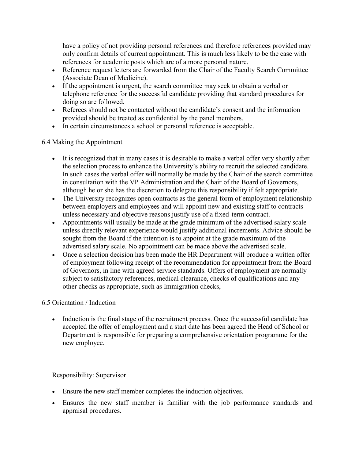have a policy of not providing personal references and therefore references provided may only confirm details of current appointment. This is much less likely to be the case with references for academic posts which are of a more personal nature.

- Reference request letters are forwarded from the Chair of the Faculty Search Committee (Associate Dean of Medicine).
- If the appointment is urgent, the search committee may seek to obtain a verbal or telephone reference for the successful candidate providing that standard procedures for doing so are followed.
- Referees should not be contacted without the candidate's consent and the information provided should be treated as confidential by the panel members.
- In certain circumstances a school or personal reference is acceptable.

## 6.4 Making the Appointment

- It is recognized that in many cases it is desirable to make a verbal offer very shortly after the selection process to enhance the University's ability to recruit the selected candidate. In such cases the verbal offer will normally be made by the Chair of the search committee in consultation with the VP Administration and the Chair of the Board of Governors, although he or she has the discretion to delegate this responsibility if felt appropriate.
- The University recognizes open contracts as the general form of employment relationship between employers and employees and will appoint new and existing staff to contracts unless necessary and objective reasons justify use of a fixed-term contract.
- Appointments will usually be made at the grade minimum of the advertised salary scale unless directly relevant experience would justify additional increments. Advice should be sought from the Board if the intention is to appoint at the grade maximum of the advertised salary scale. No appointment can be made above the advertised scale.
- Once a selection decision has been made the HR Department will produce a written offer of employment following receipt of the recommendation for appointment from the Board of Governors, in line with agreed service standards. Offers of employment are normally subject to satisfactory references, medical clearance, checks of qualifications and any other checks as appropriate, such as Immigration checks,

## 6.5 Orientation / Induction

• Induction is the final stage of the recruitment process. Once the successful candidate has accepted the offer of employment and a start date has been agreed the Head of School or Department is responsible for preparing a comprehensive orientation programme for the new employee.

## Responsibility: Supervisor

- Ensure the new staff member completes the induction objectives.
- Ensures the new staff member is familiar with the job performance standards and appraisal procedures.